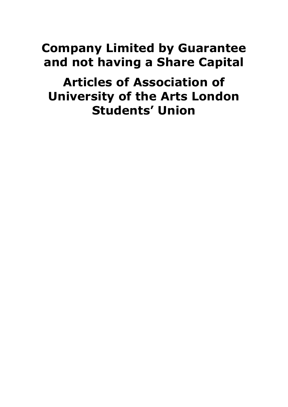# **Company Limited by Guarantee and not having a Share Capital**

**Articles of Association of University of the Arts London Students' Union**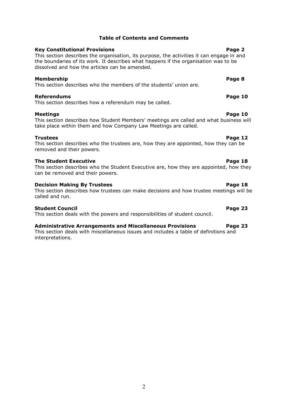# **Table of Contents and Comments**

# **Key Constitutional Provisions Page 2**

#### This section describes the organisation, its purpose, the activities it can engage in and the boundaries of its work. It describes what happens if the organisation was to be dissolved and how the articles can be amended.

# **Membership Page 8**

This section describes who the members of the students' union are.

# **Referendums Page 10**

This section describes how a referendum may be called.

# **Meetings Page 10**

This section describes how Student Members' meetings are called and what business will take place within them and how Company Law Meetings are called.

# **Trustees Page 12**

#### This section describes who the trustees are, how they are appointed, how they can be removed and their powers.

# **The Student Executive Page 18**

This section describes who the Student Executive are, how they are appointed, how they can be removed and their powers.

#### **Decision Making By Trustees Page 18**

This section describes how trustees can make decisions and how trustee meetings will be called and run.

# **Student Council Page 23**

This section deals with the powers and responsibilities of student council.

#### **Administrative Arrangements and Miscellaneous Provisions Page 23**

This section deals with miscellaneous issues and includes a table of definitions and interpretations.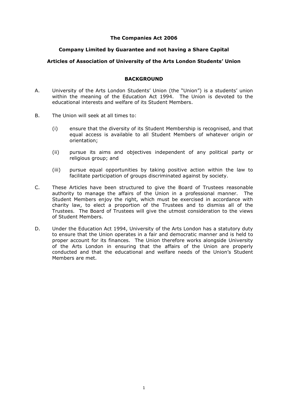# **The Companies Act 2006**

# **Company Limited by Guarantee and not having a Share Capital**

# **Articles of Association of University of the Arts London Students' Union**

# **BACKGROUND**

- A. University of the Arts London Students' Union (the "Union") is a students' union within the meaning of the Education Act 1994. The Union is devoted to the educational interests and welfare of its Student Members.
- B. The Union will seek at all times to:
	- (i) ensure that the diversity of its Student Membership is recognised, and that equal access is available to all Student Members of whatever origin or orientation;
	- (ii) pursue its aims and objectives independent of any political party or religious group; and
	- (iii) pursue equal opportunities by taking positive action within the law to facilitate participation of groups discriminated against by society.
- C. These Articles have been structured to give the Board of Trustees reasonable authority to manage the affairs of the Union in a professional manner. The Student Members enjoy the right, which must be exercised in accordance with charity law, to elect a proportion of the Trustees and to dismiss all of the Trustees. The Board of Trustees will give the utmost consideration to the views of Student Members.
- D. Under the Education Act 1994, University of the Arts London has a statutory duty to ensure that the Union operates in a fair and democratic manner and is held to proper account for its finances. The Union therefore works alongside University of the Arts London in ensuring that the affairs of the Union are properly conducted and that the educational and welfare needs of the Union's Student Members are met.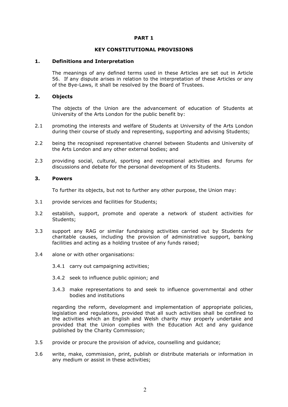#### **PART 1**

#### **KEY CONSTITUTIONAL PROVISIONS**

#### **1. Definitions and Interpretation**

The meanings of any defined terms used in these Articles are set out in Article [56.](#page-28-0) If any dispute arises in relation to the interpretation of these Articles or any of the Bye-Laws, it shall be resolved by the Board of Trustees.

#### **2. Objects**

The objects of the Union are the advancement of education of Students at University of the Arts London for the public benefit by:

- 2.1 promoting the interests and welfare of Students at University of the Arts London during their course of study and representing, supporting and advising Students;
- 2.2 being the recognised representative channel between Students and University of the Arts London and any other external bodies; and
- 2.3 providing social, cultural, sporting and recreational activities and forums for discussions and debate for the personal development of its Students.

#### **3. Powers**

To further its objects, but not to further any other purpose, the Union may:

- 3.1 provide services and facilities for Students;
- 3.2 establish, support, promote and operate a network of student activities for Students;
- 3.3 support any RAG or similar fundraising activities carried out by Students for charitable causes, including the provision of administrative support, banking facilities and acting as a holding trustee of any funds raised;
- 3.4 alone or with other organisations:
	- 3.4.1 carry out campaigning activities;
	- 3.4.2 seek to influence public opinion; and
	- 3.4.3 make representations to and seek to influence governmental and other bodies and institutions

regarding the reform, development and implementation of appropriate policies, legislation and regulations, provided that all such activities shall be confined to the activities which an English and Welsh charity may properly undertake and provided that the Union complies with the Education Act and any guidance published by the Charity Commission;

- 3.5 provide or procure the provision of advice, counselling and guidance;
- 3.6 write, make, commission, print, publish or distribute materials or information in any medium or assist in these activities;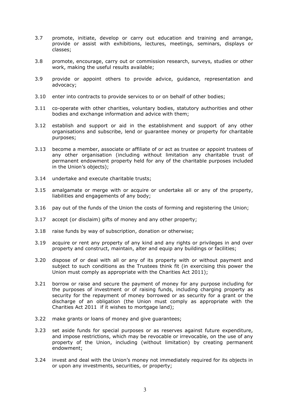- 3.7 promote, initiate, develop or carry out education and training and arrange, provide or assist with exhibitions, lectures, meetings, seminars, displays or classes;
- 3.8 promote, encourage, carry out or commission research, surveys, studies or other work, making the useful results available;
- 3.9 provide or appoint others to provide advice, guidance, representation and advocacy;
- 3.10 enter into contracts to provide services to or on behalf of other bodies;
- 3.11 co-operate with other charities, voluntary bodies, statutory authorities and other bodies and exchange information and advice with them;
- 3.12 establish and support or aid in the establishment and support of any other organisations and subscribe, lend or guarantee money or property for charitable purposes;
- 3.13 become a member, associate or affiliate of or act as trustee or appoint trustees of any other organisation (including without limitation any charitable trust of permanent endowment property held for any of the charitable purposes included in the Union's objects);
- 3.14 undertake and execute charitable trusts;
- 3.15 amalgamate or merge with or acquire or undertake all or any of the property, liabilities and engagements of any body;
- 3.16 pay out of the funds of the Union the costs of forming and registering the Union;
- 3.17 accept (or disclaim) gifts of money and any other property;
- 3.18 raise funds by way of subscription, donation or otherwise;
- 3.19 acquire or rent any property of any kind and any rights or privileges in and over property and construct, maintain, alter and equip any buildings or facilities;
- 3.20 dispose of or deal with all or any of its property with or without payment and subject to such conditions as the Trustees think fit (in exercising this power the Union must comply as appropriate with the Charities Act 2011);
- 3.21 borrow or raise and secure the payment of money for any purpose including for the purposes of investment or of raising funds, including charging property as security for the repayment of money borrowed or as security for a grant or the discharge of an obligation (the Union must comply as appropriate with the Charities Act 2011 if it wishes to mortgage land);
- 3.22 make grants or loans of money and give guarantees;
- 3.23 set aside funds for special purposes or as reserves against future expenditure, and impose restrictions, which may be revocable or irrevocable, on the use of any property of the Union, including (without limitation) by creating permanent endowment;
- 3.24 invest and deal with the Union's money not immediately required for its objects in or upon any investments, securities, or property;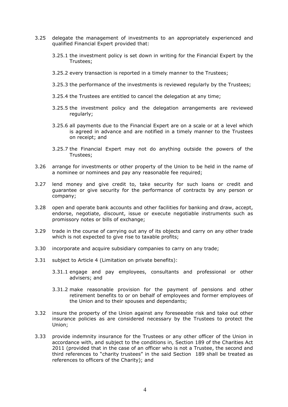- 3.25 delegate the management of investments to an appropriately experienced and qualified Financial Expert provided that:
	- 3.25.1 the investment policy is set down in writing for the Financial Expert by the Trustees;
	- 3.25.2 every transaction is reported in a timely manner to the Trustees;
	- 3.25.3 the performance of the investments is reviewed regularly by the Trustees;
	- 3.25.4 the Trustees are entitled to cancel the delegation at any time;
	- 3.25.5 the investment policy and the delegation arrangements are reviewed regularly;
	- 3.25.6 all payments due to the Financial Expert are on a scale or at a level which is agreed in advance and are notified in a timely manner to the Trustees on receipt; and
	- 3.25.7 the Financial Expert may not do anything outside the powers of the Trustees;
- 3.26 arrange for investments or other property of the Union to be held in the name of a nominee or nominees and pay any reasonable fee required;
- 3.27 lend money and give credit to, take security for such loans or credit and guarantee or give security for the performance of contracts by any person or company;
- 3.28 open and operate bank accounts and other facilities for banking and draw, accept, endorse, negotiate, discount, issue or execute negotiable instruments such as promissory notes or bills of exchange;
- 3.29 trade in the course of carrying out any of its objects and carry on any other trade which is not expected to give rise to taxable profits;
- 3.30 incorporate and acquire subsidiary companies to carry on any trade;
- 3.31 subject to Article [4](#page-6-0) (Limitation on private benefits):
	- 3.31.1 engage and pay employees, consultants and professional or other advisers; and
	- 3.31.2 make reasonable provision for the payment of pensions and other retirement benefits to or on behalf of employees and former employees of the Union and to their spouses and dependants;
- 3.32 insure the property of the Union against any foreseeable risk and take out other insurance policies as are considered necessary by the Trustees to protect the Union;
- <span id="page-5-0"></span>3.33 provide indemnity insurance for the Trustees or any other officer of the Union in accordance with, and subject to the conditions in, Section 189 of the Charities Act 2011 (provided that in the case of an officer who is not a Trustee, the second and third references to "charity trustees" in the said Section 189 shall be treated as references to officers of the Charity); and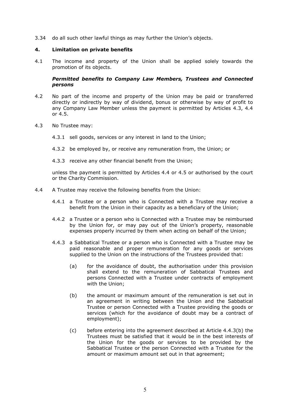3.34 do all such other lawful things as may further the Union's objects.

### <span id="page-6-0"></span>**4. Limitation on private benefits**

4.1 The income and property of the Union shall be applied solely towards the promotion of its objects.

# *Permitted benefits to Company Law Members, Trustees and Connected persons*

- 4.2 No part of the income and property of the Union may be paid or transferred directly or indirectly by way of dividend, bonus or otherwise by way of profit to any Company Law Member unless the payment is permitted by Articles [4.3,](#page-6-1) [4.4](#page-6-2) or [4.5.](#page-7-0)
- <span id="page-6-1"></span>4.3 No Trustee may:
	- 4.3.1 sell goods, services or any interest in land to the Union;
	- 4.3.2 be employed by, or receive any remuneration from, the Union; or
	- 4.3.3 receive any other financial benefit from the Union;

unless the payment is permitted by Articles [4.4](#page-6-2) or [4.5](#page-7-0) or authorised by the court or the Charity Commission.

- <span id="page-6-7"></span><span id="page-6-6"></span><span id="page-6-5"></span><span id="page-6-4"></span><span id="page-6-3"></span><span id="page-6-2"></span>4.4 A Trustee may receive the following benefits from the Union:
	- 4.4.1 a Trustee or a person who is Connected with a Trustee may receive a benefit from the Union in their capacity as a beneficiary of the Union;
	- 4.4.2 a Trustee or a person who is Connected with a Trustee may be reimbursed by the Union for, or may pay out of the Union's property, reasonable expenses properly incurred by them when acting on behalf of the Union;
	- 4.4.3 a Sabbatical Trustee or a person who is Connected with a Trustee may be paid reasonable and proper remuneration for any goods or services supplied to the Union on the instructions of the Trustees provided that:
		- (a) for the avoidance of doubt, the authorisation under this provision shall extend to the remuneration of Sabbatical Trustees and persons Connected with a Trustee under contracts of employment with the Union;
		- (b) the amount or maximum amount of the remuneration is set out in an agreement in writing between the Union and the Sabbatical Trustee or person Connected with a Trustee providing the goods or services (which for the avoidance of doubt may be a contract of employment);
		- (c) before entering into the agreement described at Article [4.4.3](#page-6-3)[\(b\)](#page-6-4) the Trustees must be satisfied that it would be in the best interests of the Union for the goods or services to be provided by the Sabbatical Trustee or the person Connected with a Trustee for the amount or maximum amount set out in that agreement;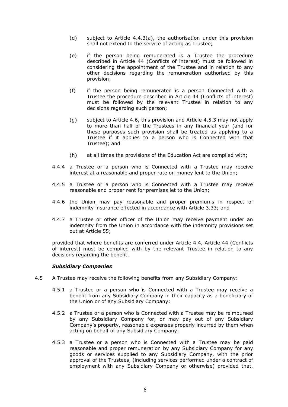- (d) subject to Article [4.4.3](#page-6-3)[\(a\),](#page-6-5) the authorisation under this provision shall not extend to the service of acting as Trustee;
- (e) if the person being remunerated is a Trustee the procedure described in Article [44](#page-22-0) (Conflicts of interest) must be followed in considering the appointment of the Trustee and in relation to any other decisions regarding the remuneration authorised by this provision;
- (f) if the person being remunerated is a person Connected with a Trustee the procedure described in Article [44](#page-22-0) (Conflicts of interest) must be followed by the relevant Trustee in relation to any decisions regarding such person;
- (g) subject to Article [4.6,](#page-8-0) this provision and Article [4.5.3](#page-7-1) may not apply to more than half of the Trustees in any financial year (and for these purposes such provision shall be treated as applying to a Trustee if it applies to a person who is Connected with that Trustee); and
- (h) at all times the provisions of the Education Act are complied with;
- 4.4.4 a Trustee or a person who is Connected with a Trustee may receive interest at a reasonable and proper rate on money lent to the Union;
- 4.4.5 a Trustee or a person who is Connected with a Trustee may receive reasonable and proper rent for premises let to the Union;
- 4.4.6 the Union may pay reasonable and proper premiums in respect of indemnity insurance effected in accordance with Article [3.33;](#page-5-0) and
- 4.4.7 a Trustee or other officer of the Union may receive payment under an indemnity from the Union in accordance with the indemnity provisions set out at Article [55;](#page-27-0)

provided that where benefits are conferred under Article [4.4,](#page-6-2) Article [44](#page-22-0) (Conflicts of interest) must be complied with by the relevant Trustee in relation to any decisions regarding the benefit.

#### *Subsidiary Companies*

- <span id="page-7-1"></span><span id="page-7-0"></span>4.5 A Trustee may receive the following benefits from any Subsidiary Company:
	- 4.5.1 a Trustee or a person who is Connected with a Trustee may receive a benefit from any Subsidiary Company in their capacity as a beneficiary of the Union or of any Subsidiary Company;
	- 4.5.2 a Trustee or a person who is Connected with a Trustee may be reimbursed by any Subsidiary Company for, or may pay out of any Subsidiary Company's property, reasonable expenses properly incurred by them when acting on behalf of any Subsidiary Company;
	- 4.5.3 a Trustee or a person who is Connected with a Trustee may be paid reasonable and proper remuneration by any Subsidiary Company for any goods or services supplied to any Subsidiary Company, with the prior approval of the Trustees, (including services performed under a contract of employment with any Subsidiary Company or otherwise) provided that,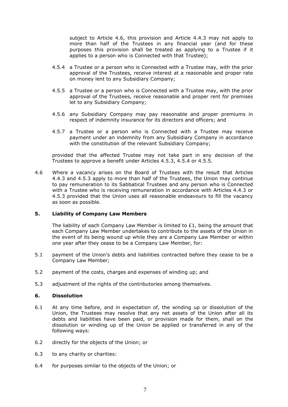subject to Article [4.6,](#page-8-0) this provision and Article [4.4.3](#page-6-3) may not apply to more than half of the Trustees in any financial year (and for these purposes this provision shall be treated as applying to a Trustee if it applies to a person who is Connected with that Trustee);

- <span id="page-8-1"></span>4.5.4 a Trustee or a person who is Connected with a Trustee may, with the prior approval of the Trustees, receive interest at a reasonable and proper rate on money lent to any Subsidiary Company;
- <span id="page-8-2"></span>4.5.5 a Trustee or a person who is Connected with a Trustee may, with the prior approval of the Trustees, receive reasonable and proper rent for premises let to any Subsidiary Company;
- 4.5.6 any Subsidiary Company may pay reasonable and proper premiums in respect of indemnity insurance for its directors and officers; and
- 4.5.7 a Trustee or a person who is Connected with a Trustee may receive payment under an indemnity from any Subsidiary Company in accordance with the constitution of the relevant Subsidiary Company;

provided that the affected Trustee may not take part in any decision of the Trustees to approve a benefit under Articles [4.5.3,](#page-7-1) [4.5.4](#page-8-1) or [4.5.5.](#page-8-2)

<span id="page-8-0"></span>4.6 Where a vacancy arises on the Board of Trustees with the result that Articles [4.4.3](#page-6-3) and [4.5.3](#page-7-1) apply to more than half of the Trustees, the Union may continue to pay remuneration to its Sabbatical Trustees and any person who is Connected with a Trustee who is receiving remuneration in accordance with Articles [4.4.3](#page-6-3) or [4.5.3](#page-7-1) provided that the Union uses all reasonable endeavours to fill the vacancy as soon as possible.

# **5. Liability of Company Law Members**

The liability of each Company Law Member is limited to  $E1$ , being the amount that each Company Law Member undertakes to contribute to the assets of the Union in the event of its being wound up while they are a Company Law Member or within one year after they cease to be a Company Law Member, for:

- 5.1 payment of the Union's debts and liabilities contracted before they cease to be a Company Law Member;
- 5.2 payment of the costs, charges and expenses of winding up; and
- 5.3 adjustment of the rights of the contributories among themselves.

#### <span id="page-8-3"></span>**6. Dissolution**

- <span id="page-8-4"></span>6.1 At any time before, and in expectation of, the winding up or dissolution of the Union, the Trustees may resolve that any net assets of the Union after all its debts and liabilities have been paid, or provision made for them, shall on the dissolution or winding up of the Union be applied or transferred in any of the following ways:
- 6.2 directly for the objects of the Union; or
- 6.3 to any charity or charities:
- 6.4 for purposes similar to the objects of the Union; or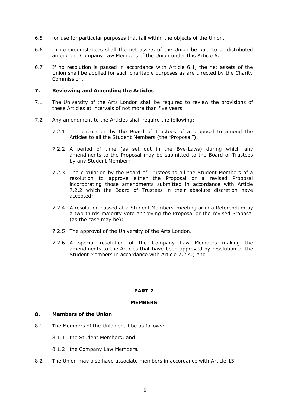- 6.5 for use for particular purposes that fall within the objects of the Union.
- 6.6 In no circumstances shall the net assets of the Union be paid to or distributed among the Company Law Members of the Union under this Article [6.](#page-8-3)
- 6.7 If no resolution is passed in accordance with Article [6.1,](#page-8-4) the net assets of the Union shall be applied for such charitable purposes as are directed by the Charity Commission.

#### **7. Reviewing and Amending the Articles**

- 7.1 The University of the Arts London shall be required to review the provisions of these Articles at intervals of not more than five years.
- <span id="page-9-1"></span><span id="page-9-0"></span>7.2 Any amendment to the Articles shall require the following:
	- 7.2.1 The circulation by the Board of Trustees of a proposal to amend the Articles to all the Student Members (the "Proposal");
	- 7.2.2 A period of time (as set out in the Bye-Laws) during which any amendments to the Proposal may be submitted to the Board of Trustees by any Student Member;
	- 7.2.3 The circulation by the Board of Trustees to all the Student Members of a resolution to approve either the Proposal or a revised Proposal incorporating those amendments submitted in accordance with Article [7.2.2](#page-9-0) which the Board of Trustees in their absolute discretion have accepted;
	- 7.2.4 A resolution passed at a Student Members' meeting or in a Referendum by a two thirds majority vote approving the Proposal or the revised Proposal (as the case may be);
	- 7.2.5 The approval of the University of the Arts London.
	- 7.2.6 A special resolution of the Company Law Members making the amendments to the Articles that have been approved by resolution of the Student Members in accordance with Article [7.2.4.](#page-9-1); and

#### **PART 2**

#### **MEMBERS**

#### **8. Members of the Union**

- 8.1 The Members of the Union shall be as follows:
	- 8.1.1 the Student Members; and
	- 8.1.2 the Company Law Members.
- 8.2 The Union may also have associate members in accordance with Article [13.](#page-11-0)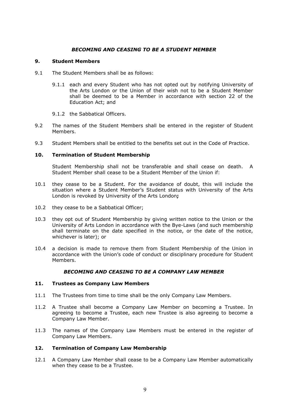# *BECOMING AND CEASING TO BE A STUDENT MEMBER*

#### <span id="page-10-0"></span>**9. Student Members**

- <span id="page-10-2"></span>9.1 The Student Members shall be as follows:
	- 9.1.1 each and every Student who has not opted out by notifying University of the Arts London or the Union of their wish not to be a Student Member shall be deemed to be a Member in accordance with section 22 of the Education Act; and
	- 9.1.2 the Sabbatical Officers.
- 9.2 The names of the Student Members shall be entered in the register of Student Members.
- 9.3 Student Members shall be entitled to the benefits set out in the Code of Practice.

#### **10. Termination of Student Membership**

Student Membership shall not be transferable and shall cease on death. A Student Member shall cease to be a Student Member of the Union if:

- 10.1 they cease to be a Student. For the avoidance of doubt, this will include the situation where a Student Member's Student status with University of the Arts London is revoked by University of the Arts London**;**
- 10.2 they cease to be a Sabbatical Officer;
- 10.3 they opt out of Student Membership by giving written notice to the Union or the University of Arts London in accordance with the Bye-Laws (and such membership shall terminate on the date specified in the notice, or the date of the notice, whichever is later); or
- 10.4 a decision is made to remove them from Student Membership of the Union in accordance with the Union's code of conduct or disciplinary procedure for Student Members.

#### *BECOMING AND CEASING TO BE A COMPANY LAW MEMBER*

#### <span id="page-10-1"></span>**11. Trustees as Company Law Members**

- 11.1 The Trustees from time to time shall be the only Company Law Members.
- 11.2 A Trustee shall become a Company Law Member on becoming a Trustee. In agreeing to become a Trustee, each new Trustee is also agreeing to become a Company Law Member.
- 11.3 The names of the Company Law Members must be entered in the register of Company Law Members.

#### **12. Termination of Company Law Membership**

12.1 A Company Law Member shall cease to be a Company Law Member automatically when they cease to be a Trustee.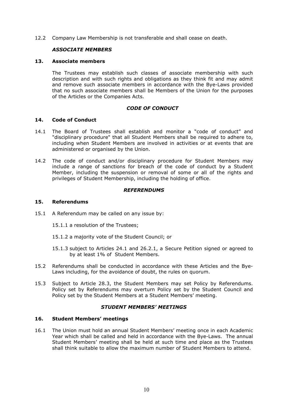12.2 Company Law Membership is not transferable and shall cease on death.

# *ASSOCIATE MEMBERS*

#### <span id="page-11-0"></span>**13. Associate members**

The Trustees may establish such classes of associate membership with such description and with such rights and obligations as they think fit and may admit and remove such associate members in accordance with the Bye-Laws provided that no such associate members shall be Members of the Union for the purposes of the Articles or the Companies Acts.

# *CODE OF CONDUCT*

#### **14. Code of Conduct**

- 14.1 The Board of Trustees shall establish and monitor a "code of conduct" and "disciplinary procedure" that all Student Members shall be required to adhere to, including when Student Members are involved in activities or at events that are administered or organised by the Union.
- 14.2 The code of conduct and/or disciplinary procedure for Student Members may include a range of sanctions for breach of the code of conduct by a Student Member, including the suspension or removal of some or all of the rights and privileges of Student Membership, including the holding of office.

### *REFERENDUMS*

# <span id="page-11-2"></span>**15. Referendums**

- 15.1 A Referendum may be called on any issue by:
	- 15.1.1 a resolution of the Trustees;
	- 15.1.2 a majority vote of the Student Council; or
	- 15.1.3 subject to Articles [24.1](#page-15-0) and [26.2.1,](#page-16-0) a Secure Petition signed or agreed to by at least 1% of Student Members.
- 15.2 Referendums shall be conducted in accordance with these Articles and the Bye-Laws including, for the avoidance of doubt, the rules on quorum.
- 15.3 Subject to Article [28.3,](#page-17-0) the Student Members may set Policy by Referendums. Policy set by Referendums may overturn Policy set by the Student Council and Policy set by the Student Members at a Student Members' meeting.

#### *STUDENT MEMBERS' MEETINGS*

#### <span id="page-11-1"></span>**16. Student Members' meetings**

16.1 The Union must hold an annual Student Members' meeting once in each Academic Year which shall be called and held in accordance with the Bye-Laws. The annual Student Members' meeting shall be held at such time and place as the Trustees shall think suitable to allow the maximum number of Student Members to attend.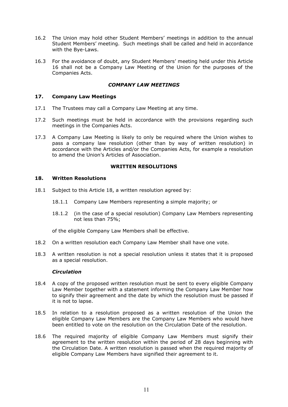- 16.2 The Union may hold other Student Members' meetings in addition to the annual Student Members' meeting. Such meetings shall be called and held in accordance with the Bye-Laws.
- 16.3 For the avoidance of doubt, any Student Members' meeting held under this Article [16](#page-11-1) shall not be a Company Law Meeting of the Union for the purposes of the Companies Acts.

# *COMPANY LAW MEETINGS*

# **17. Company Law Meetings**

- 17.1 The Trustees may call a Company Law Meeting at any time.
- 17.2 Such meetings must be held in accordance with the provisions regarding such meetings in the Companies Acts.
- 17.3 A Company Law Meeting is likely to only be required where the Union wishes to pass a company law resolution (other than by way of written resolution) in accordance with the Articles and/or the Companies Acts, for example a resolution to amend the Union's Articles of Association.

#### **WRITTEN RESOLUTIONS**

#### <span id="page-12-0"></span>**18. Written Resolutions**

- 18.1 Subject to this Article [18,](#page-12-0) a written resolution agreed by:
	- 18.1.1 Company Law Members representing a simple majority; or
	- 18.1.2 (in the case of a special resolution) Company Law Members representing not less than 75%;

of the eligible Company Law Members shall be effective.

- 18.2 On a written resolution each Company Law Member shall have one vote.
- 18.3 A written resolution is not a special resolution unless it states that it is proposed as a special resolution.

#### *Circulation*

- 18.4 A copy of the proposed written resolution must be sent to every eligible Company Law Member together with a statement informing the Company Law Member how to signify their agreement and the date by which the resolution must be passed if it is not to lapse.
- 18.5 In relation to a resolution proposed as a written resolution of the Union the eligible Company Law Members are the Company Law Members who would have been entitled to vote on the resolution on the Circulation Date of the resolution.
- 18.6 The required majority of eligible Company Law Members must signify their agreement to the written resolution within the period of 28 days beginning with the Circulation Date. A written resolution is passed when the required majority of eligible Company Law Members have signified their agreement to it.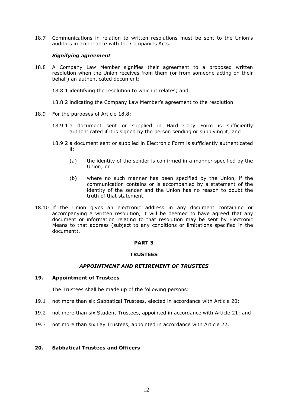18.7 Communications in relation to written resolutions must be sent to the Union's auditors in accordance with the Companies Acts.

# *Signifying agreement*

- <span id="page-13-0"></span>18.8 A Company Law Member signifies their agreement to a proposed written resolution when the Union receives from them (or from someone acting on their behalf) an authenticated document:
	- 18.8.1 identifying the resolution to which it relates; and
	- 18.8.2 indicating the Company Law Member's agreement to the resolution.
- 18.9 For the purposes of Article [18.8:](#page-13-0)
	- 18.9.1 a document sent or supplied in Hard Copy Form is sufficiently authenticated if it is signed by the person sending or supplying it; and
	- 18.9.2 a document sent or supplied in Electronic Form is sufficiently authenticated if:
		- (a) the identity of the sender is confirmed in a manner specified by the Union; or
		- (b) where no such manner has been specified by the Union, if the communication contains or is accompanied by a statement of the identity of the sender and the Union has no reason to doubt the truth of that statement.
- 18.10 If the Union gives an electronic address in any document containing or accompanying a written resolution, it will be deemed to have agreed that any document or information relating to that resolution may be sent by Electronic Means to that address (subject to any conditions or limitations specified in the document).

#### **PART 3**

#### **TRUSTEES**

#### *APPOINTMENT AND RETIREMENT OF TRUSTEES*

#### <span id="page-13-2"></span>**19. Appointment of Trustees**

The Trustees shall be made up of the following persons:

- 19.1 not more than six Sabbatical Trustees, elected in accordance with Article [20;](#page-13-1)
- 19.2 not more than six Student Trustees, appointed in accordance with Article [21;](#page-14-0) and
- 19.3 not more than six Lay Trustees, appointed in accordance with Article [22.](#page-14-1)

# <span id="page-13-1"></span>**20. Sabbatical Trustees and Officers**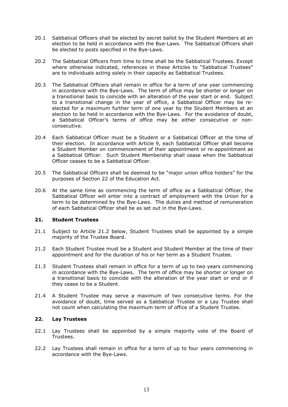- 20.1 Sabbatical Officers shall be elected by secret ballot by the Student Members at an election to be held in accordance with the Bye-Laws. The Sabbatical Officers shall be elected to posts specified in the Bye-Laws.
- 20.2 The Sabbatical Officers from time to time shall be the Sabbatical Trustees. Except where otherwise indicated, references in these Articles to "Sabbatical Trustees" are to individuals acting solely in their capacity as Sabbatical Trustees.
- 20.3 The Sabbatical Officers shall remain in office for a term of one year commencing in accordance with the Bye-Laws. The term of office may be shorter or longer on a transitional basis to coincide with an alteration of the year start or end. Subject to a transitional change in the year of office, a Sabbatical Officer may be reelected for a maximum further term of one year by the Student Members at an election to be held in accordance with the Bye-Laws. For the avoidance of doubt, a Sabbatical Officer's terms of office may be either consecutive or nonconsecutive.
- 20.4 Each Sabbatical Officer must be a Student or a Sabbatical Officer at the time of their election. In accordance with Article [9,](#page-10-0) each Sabbatical Officer shall become a Student Member on commencement of their appointment or re-appointment as a Sabbatical Officer. Such Student Membership shall cease when the Sabbatical Officer ceases to be a Sabbatical Officer.
- 20.5 The Sabbatical Officers shall be deemed to be "major union office holders" for the purposes of Section 22 of the Education Act.
- <span id="page-14-3"></span>20.6 At the same time as commencing the term of office as a Sabbatical Officer, the Sabbatical Officer will enter into a contract of employment with the Union for a term to be determined by the Bye-Laws. The duties and method of remuneration of each Sabbatical Officer shall be as set out in the Bye-Laws.

# <span id="page-14-0"></span>**21. Student Trustees**

- <span id="page-14-4"></span>21.1 Subject to Article [21.2](#page-14-2) below, Student Trustees shall be appointed by a simple majority of the Trustee Board.
- <span id="page-14-2"></span>21.2 Each Student Trustee must be a Student and Student Member at the time of their appointment and for the duration of his or her term as a Student Trustee.
- 21.3 Student Trustees shall remain in office for a term of up to two years commencing in accordance with the Bye-Laws. The term of office may be shorter or longer on a transitional basis to coincide with the alteration of the year start or end or if they cease to be a Student.
- 21.4 A Student Trustee may serve a maximum of two consecutive terms. For the avoidance of doubt, time served as a Sabbatical Trustee or a Lay Trustee shall not count when calculating the maximum term of office of a Student Trustee.

#### <span id="page-14-1"></span>**22. Lay Trustees**

- <span id="page-14-5"></span>22.1 Lay Trustees shall be appointed by a simple majority vote of the Board of Trustees.
- 22.2 Lay Trustees shall remain in office for a term of up to four years commencing in accordance with the Bye-Laws.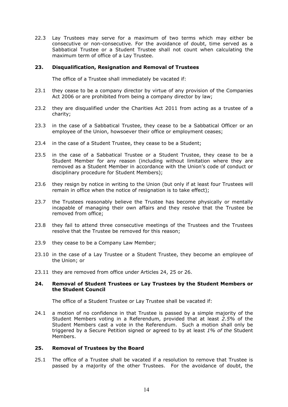22.3 Lay Trustees may serve for a maximum of two terms which may either be consecutive or non-consecutive. For the avoidance of doubt, time served as a Sabbatical Trustee or a Student Trustee shall not count when calculating the maximum term of office of a Lay Trustee.

#### **23. Disqualification, Resignation and Removal of Trustees**

The office of a Trustee shall immediately be vacated if:

- 23.1 they cease to be a company director by virtue of any provision of the Companies Act 2006 or are prohibited from being a company director by law;
- 23.2 they are disqualified under the Charities Act 2011 from acting as a trustee of a charity;
- 23.3 in the case of a Sabbatical Trustee, they cease to be a Sabbatical Officer or an employee of the Union, howsoever their office or employment ceases;
- 23.4 in the case of a Student Trustee, they cease to be a Student;
- 23.5 in the case of a Sabbatical Trustee or a Student Trustee, they cease to be a Student Member for any reason (including without limitation where they are removed as a Student Member in accordance with the Union's code of conduct or disciplinary procedure for Student Members);
- 23.6 they resign by notice in writing to the Union (but only if at least four Trustees will remain in office when the notice of resignation is to take effect);
- 23.7 the Trustees reasonably believe the Trustee has become physically or mentally incapable of managing their own affairs and they resolve that the Trustee be removed from office;
- 23.8 they fail to attend three consecutive meetings of the Trustees and the Trustees resolve that the Trustee be removed for this reason;
- 23.9 they cease to be a Company Law Member;
- 23.10 in the case of a Lay Trustee or a Student Trustee, they become an employee of the Union; or
- 23.11 they are removed from office under Articles [24,](#page-15-1) [25](#page-15-2) or 26.

#### <span id="page-15-1"></span>**24. Removal of Student Trustees or Lay Trustees by the Student Members or the Student Council**

The office of a Student Trustee or Lay Trustee shall be vacated if:

<span id="page-15-0"></span>24.1 a motion of no confidence in that Trustee is passed by a simple majority of the Student Members voting in a Referendum, provided that at least *2.5%* of the Student Members cast a vote in the Referendum. Such a motion shall only be triggered by a Secure Petition signed or agreed to by at least *1% of the* Student Members.

#### <span id="page-15-2"></span>**25. Removal of Trustees by the Board**

25.1 The office of a Trustee shall be vacated if a resolution to remove that Trustee is passed by a majority of the other Trustees. For the avoidance of doubt, the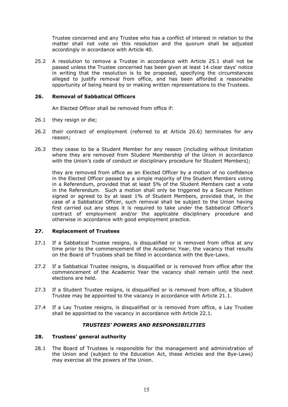Trustee concerned and any Trustee who has a conflict of interest in relation to the matter shall not vote on this resolution and the quorum shall be adjusted accordingly in accordance with Article [40.](#page-20-0)

25.2 A resolution to remove a Trustee in accordance with Article 25.1 shall not be passed unless the Trustee concerned has been given at least 14 clear days' notice in writing that the resolution is to be proposed, specifying the circumstances alleged to justify removal from office, and has been afforded a reasonable opportunity of being heard by or making written representations to the Trustees.

# **26. Removal of Sabbatical Officers**

An Elected Officer shall be removed from office if:

- 26.1 they resign or die;
- 26.2 their contract of employment (referred to at Article [20.6\)](#page-14-3) terminates for any reason;
- 26.3 they cease to be a Student Member for any reason (including without limitation where they are removed from Student Membership of the Union in accordance with the Union's code of conduct or disciplinary procedure for Student Members);

<span id="page-16-0"></span>they are removed from office as an Elected Officer by a motion of no confidence in the Elected Officer passed by a simple majority of the Student Members voting in a Referendum, provided that at least 5% of the Student Members cast a vote in the Referendum. Such a motion shall only be triggered by a Secure Petition signed or agreed to by at least 1% of Student Members, provided that, in the case of a Sabbatical Officer, such removal shall be subject to the Union having first carried out any steps it is required to take under the Sabbatical Officer's contract of employment and/or the applicable disciplinary procedure and otherwise in accordance with good employment practice.

#### **27. Replacement of Trustees**

- 27.1 If a Sabbatical Trustee resigns, is disqualified or is removed from office at any time prior to the commencement of the Academic Year, the vacancy that results on the Board of Trustees shall be filled in accordance with the Bye-Laws.
- 27.2 If a Sabbatical Trustee resigns, is disqualified or is removed from office after the commencement of the Academic Year the vacancy shall remain until the next elections are held.
- 27.3 If a Student Trustee resigns, is disqualified or is removed from office, a Student Trustee may be appointed to the vacancy in accordance with Article [21.1.](#page-14-4)
- 27.4 If a Lay Trustee resigns, is disqualified or is removed from office, a Lay Trustee shall be appointed to the vacancy in accordance with Article 22.1.

# *TRUSTEES' POWERS AND RESPONSIBILITIES*

# <span id="page-16-2"></span>**28. Trustees' general authority**

<span id="page-16-1"></span>28.1 The Board of Trustees is responsible for the management and administration of the Union and (subject to the Education Act, these Articles and the Bye-Laws) may exercise all the powers of the Union.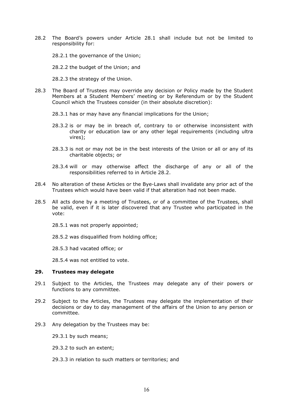- <span id="page-17-1"></span>28.2 The Board's powers under Article [28.1](#page-16-1) shall include but not be limited to responsibility for:
	- 28.2.1 the governance of the Union;
	- 28.2.2 the budget of the Union; and
	- 28.2.3 the strategy of the Union.
- <span id="page-17-0"></span>28.3 The Board of Trustees may override any decision or Policy made by the Student Members at a Student Members' meeting or by Referendum or by the Student Council which the Trustees consider (in their absolute discretion):
	- 28.3.1 has or may have any financial implications for the Union;
	- 28.3.2 is or may be in breach of, contrary to or otherwise inconsistent with charity or education law or any other legal requirements (including ultra vires);
	- 28.3.3 is not or may not be in the best interests of the Union or all or any of its charitable objects; or
	- 28.3.4 will or may otherwise affect the discharge of any or all of the responsibilities referred to in Article [28.2.](#page-17-1)
- 28.4 No alteration of these Articles or the Bye-Laws shall invalidate any prior act of the Trustees which would have been valid if that alteration had not been made.
- 28.5 All acts done by a meeting of Trustees, or of a committee of the Trustees, shall be valid, even if it is later discovered that any Trustee who participated in the vote:
	- 28.5.1 was not properly appointed;
	- 28.5.2 was disqualified from holding office;

28.5.3 had vacated office; or

28.5.4 was not entitled to vote.

#### <span id="page-17-2"></span>**29. Trustees may delegate**

- 29.1 Subject to the Articles, the Trustees may delegate any of their powers or functions to any committee.
- 29.2 Subject to the Articles, the Trustees may delegate the implementation of their decisions or day to day management of the affairs of the Union to any person or committee.
- 29.3 Any delegation by the Trustees may be:

29.3.1 by such means;

29.3.2 to such an extent;

29.3.3 in relation to such matters or territories; and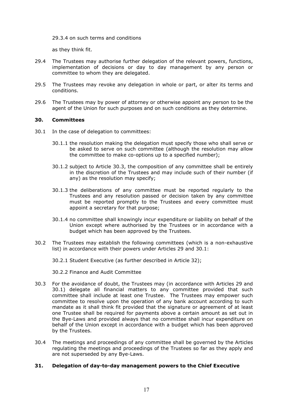29.3.4 on such terms and conditions

as they think fit.

- 29.4 The Trustees may authorise further delegation of the relevant powers, functions, implementation of decisions or day to day management by any person or committee to whom they are delegated.
- 29.5 The Trustees may revoke any delegation in whole or part, or alter its terms and conditions.
- 29.6 The Trustees may by power of attorney or otherwise appoint any person to be the agent of the Union for such purposes and on such conditions as they determine.

#### **30. Committees**

- <span id="page-18-1"></span>30.1 In the case of delegation to committees:
	- 30.1.1 the resolution making the delegation must specify those who shall serve or be asked to serve on such committee (although the resolution may allow the committee to make co-options up to a specified number);
	- 30.1.2 subject to Article [30.3,](#page-18-0) the composition of any committee shall be entirely in the discretion of the Trustees and may include such of their number (if any) as the resolution may specify;
	- 30.1.3 the deliberations of any committee must be reported regularly to the Trustees and any resolution passed or decision taken by any committee must be reported promptly to the Trustees and every committee must appoint a secretary for that purpose;
	- 30.1.4 no committee shall knowingly incur expenditure or liability on behalf of the Union except where authorised by the Trustees or in accordance with a budget which has been approved by the Trustees.
- 30.2 The Trustees may establish the following committees (which is a non-exhaustive list) in accordance with their powers under Articles [29](#page-17-2) and [30.1:](#page-18-1)
	- 30.2.1 Student Executive (as further described in Article [32\)](#page-19-0);
	- 30.2.2 Finance and Audit Committee
- <span id="page-18-0"></span>30.3 For the avoidance of doubt, the Trustees may (in accordance with Articles [29](#page-17-2) and [30.1\)](#page-18-1) delegate all financial matters to any committee provided that such committee shall include at least one Trustee. The Trustees may empower such committee to resolve upon the operation of any bank account according to such mandate as it shall think fit provided that the signature or agreement of at least one Trustee shall be required for payments above a certain amount as set out in the Bye-Laws and provided always that no committee shall incur expenditure on behalf of the Union except in accordance with a budget which has been approved by the Trustees.
- 30.4 The meetings and proceedings of any committee shall be governed by the Articles regulating the meetings and proceedings of the Trustees so far as they apply and are not superseded by any Bye-Laws.

#### **31. Delegation of day-to-day management powers to the Chief Executive**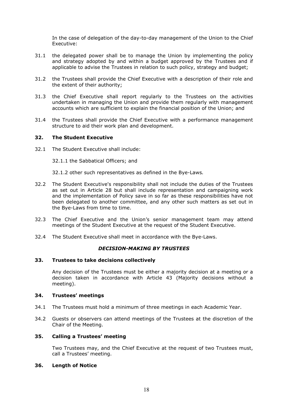In the case of delegation of the day-to-day management of the Union to the Chief Executive:

- 31.1 the delegated power shall be to manage the Union by implementing the policy and strategy adopted by and within a budget approved by the Trustees and if applicable to advise the Trustees in relation to such policy, strategy and budget;
- 31.2 the Trustees shall provide the Chief Executive with a description of their role and the extent of their authority;
- 31.3 the Chief Executive shall report regularly to the Trustees on the activities undertaken in managing the Union and provide them regularly with management accounts which are sufficient to explain the financial position of the Union; and
- 31.4 the Trustees shall provide the Chief Executive with a performance management structure to aid their work plan and development.

#### <span id="page-19-0"></span>**32. The Student Executive**

32.1 The Student Executive shall include:

32.1.1 the Sabbatical Officers; and

- 32.1.2 other such representatives as defined in the Bye-Laws*.*
- 32.2 The Student Executive's responsibility shall not include the duties of the Trustees as set out in Article [28](#page-16-2) but shall include representation and campaigning work and the implementation of Policy save in so far as these responsibilities have not been delegated to another committee, and any other such matters as set out in the Bye-Laws from time to time.
- 32.3 The Chief Executive and the Union's senior management team may attend meetings of the Student Executive at the request of the Student Executive.
- 32.4 The Student Executive shall meet in accordance with the Bye-Laws.

#### *DECISION-MAKING BY TRUSTEES*

#### **33. Trustees to take decisions collectively**

Any decision of the Trustees must be either a majority decision at a meeting or a decision taken in accordance with Article [43](#page-21-0) (Majority decisions without a meeting).

### **34. Trustees' meetings**

- 34.1 The Trustees must hold a minimum of three meetings in each Academic Year.
- 34.2 Guests or observers can attend meetings of the Trustees at the discretion of the Chair of the Meeting.

### **35. Calling a Trustees' meeting**

Two Trustees may, and the Chief Executive at the request of two Trustees must, call a Trustees' meeting.

#### **36. Length of Notice**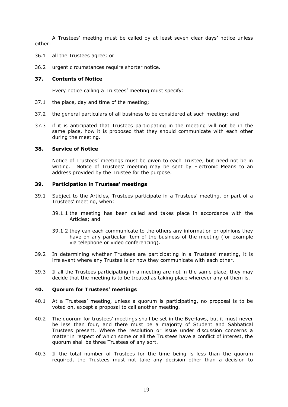A Trustees' meeting must be called by at least seven clear days' notice unless either:

- 36.1 all the Trustees agree; or
- 36.2 urgent circumstances require shorter notice.

# **37. Contents of Notice**

Every notice calling a Trustees' meeting must specify:

- 37.1 the place, day and time of the meeting;
- 37.2 the general particulars of all business to be considered at such meeting; and
- 37.3 if it is anticipated that Trustees participating in the meeting will not be in the same place, how it is proposed that they should communicate with each other during the meeting.

#### **38. Service of Notice**

Notice of Trustees' meetings must be given to each Trustee, but need not be in writing. Notice of Trustees' meeting may be sent by Electronic Means to an address provided by the Trustee for the purpose.

#### **39. Participation in Trustees' meetings**

- 39.1 Subject to the Articles, Trustees participate in a Trustees' meeting, or part of a Trustees' meeting, when:
	- 39.1.1 the meeting has been called and takes place in accordance with the Articles; and
	- 39.1.2 they can each communicate to the others any information or opinions they have on any particular item of the business of the meeting (for example via telephone or video conferencing).
- 39.2 In determining whether Trustees are participating in a Trustees' meeting, it is irrelevant where any Trustee is or how they communicate with each other.
- 39.3 If all the Trustees participating in a meeting are not in the same place, they may decide that the meeting is to be treated as taking place wherever any of them is.

#### <span id="page-20-0"></span>**40. Quorum for Trustees' meetings**

- 40.1 At a Trustees' meeting, unless a quorum is participating, no proposal is to be voted on, except a proposal to call another meeting.
- 40.2 The quorum for trustees' meetings shall be set in the Bye-laws, but it must never be less than four, and there must be a majority of Student and Sabbatical Trustees present. Where the resolution or issue under discussion concerns a matter in respect of which some or all the Trustees have a conflict of interest, the quorum shall be three Trustees of any sort.
- 40.3 If the total number of Trustees for the time being is less than the quorum required, the Trustees must not take any decision other than a decision to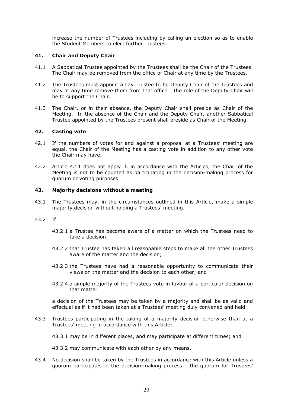increase the number of Trustees including by calling an election so as to enable the Student Members to elect further Trustees.

#### <span id="page-21-3"></span>**41. Chair and Deputy Chair**

- <span id="page-21-2"></span>41.1 A Sabbatical Trustee appointed by the Trustees shall be the Chair of the Trustees. The Chair may be removed from the office of Chair at any time by the Trustees.
- <span id="page-21-4"></span>41.2 The Trustees must appoint a Lay Trustee to be Deputy Chair of the Trustees and may at any time remove them from that office. The role of the Deputy Chair will be to support the Chair.
- 41.3 The Chair, or in their absence, the Deputy Chair shall preside as Chair of the Meeting. In the absence of the Chair and the Deputy Chair, another Sabbatical Trustee appointed by the Trustees present shall preside as Chair of the Meeting.

#### **42. Casting vote**

- <span id="page-21-1"></span>42.1 If the numbers of votes for and against a proposal at a Trustees' meeting are equal, the Chair of the Meeting has a casting vote in addition to any other vote the Chair may have.
- 42.2 Article [42.1](#page-21-1) does not apply if, in accordance with the Articles, the Chair of the Meeting is not to be counted as participating in the decision-making process for quorum or voting purposes.

#### <span id="page-21-0"></span>**43. Majority decisions without a meeting**

43.1 The Trustees may, in the circumstances outlined in this Article, make a simple majority decision without holding a Trustees' meeting.

#### 43.2 If:

- 43.2.1 a Trustee has become aware of a matter on which the Trustees need to take a decision;
- 43.2.2 that Trustee has taken all reasonable steps to make all the other Trustees aware of the matter and the decision;
- 43.2.3 the Trustees have had a reasonable opportunity to communicate their views on the matter and the decision to each other; and
- 43.2.4 a simple majority of the Trustees vote in favour of a particular decision on that matter

a decision of the Trustees may be taken by a majority and shall be as valid and effectual as if it had been taken at a Trustees' meeting duly convened and held.

43.3 Trustees participating in the taking of a majority decision otherwise than at a Trustees' meeting in accordance with this Article:

43.3.1 may be in different places, and may participate at different times; and

43.3.2 may communicate with each other by any means.

43.4 No decision shall be taken by the Trustees in accordance with this Article unless a quorum participates in the decision-making process. The quorum for Trustees'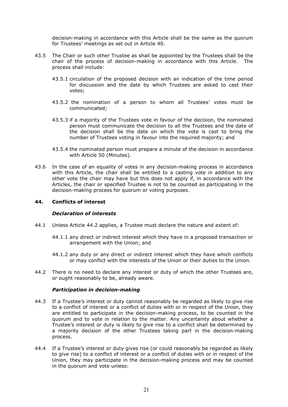decision-making in accordance with this Article shall be the same as the quorum for Trustees' meetings as set out in Article [40.](#page-20-0)

- 43.5 The Chair or such other Trustee as shall be appointed by the Trustees shall be the chair of the process of decision-making in accordance with this Article. The process shall include:
	- 43.5.1 circulation of the proposed decision with an indication of the time period for discussion and the date by which Trustees are asked to cast their votes;
	- 43.5.2 the nomination of a person to whom all Trustees' votes must be communicated;
	- 43.5.3 if a majority of the Trustees vote in favour of the decision, the nominated person must communicate the decision to all the Trustees and the date of the decision shall be the date on which the vote is cast to bring the number of Trustees voting in favour into the required majority; and
	- 43.5.4 the nominated person must prepare a minute of the decision in accordance with Article [50](#page-26-0) (Minutes).
- 43.6 In the case of an equality of votes in any decision-making process in accordance with this Article, the chair shall be entitled to a casting vote in addition to any other vote the chair may have but this does not apply if, in accordance with the Articles, the chair or specified Trustee is not to be counted as participating in the decision-making process for quorum or voting purposes.

#### <span id="page-22-0"></span>**44. Conflicts of interest**

#### *Declaration of interests*

- 44.1 Unless Article [44.2](#page-22-1) applies, a Trustee must declare the nature and extent of:
	- 44.1.1 any direct or indirect interest which they have in a proposed transaction or arrangement with the Union; and
	- 44.1.2 any duty or any direct or indirect interest which they have which conflicts or may conflict with the interests of the Union or their duties to the Union.
- <span id="page-22-1"></span>44.2 There is no need to declare any interest or duty of which the other Trustees are, or ought reasonably to be, already aware.

#### *Participation in decision-making*

- 44.3 If a Trustee's interest or duty cannot reasonably be regarded as likely to give rise to a conflict of interest or a conflict of duties with or in respect of the Union, they are entitled to participate in the decision-making process, to be counted in the quorum and to vote in relation to the matter. Any uncertainty about whether a Trustee's interest or duty is likely to give rise to a conflict shall be determined by a majority decision of the other Trustees taking part in the decision-making process.
- 44.4 If a Trustee's interest or duty gives rise (or could reasonably be regarded as likely to give rise) to a conflict of interest or a conflict of duties with or in respect of the Union, they may participate in the decision-making process and may be counted in the quorum and vote unless: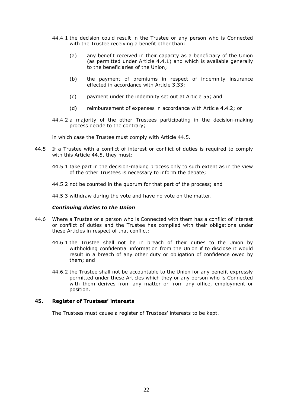- 44.4.1 the decision could result in the Trustee or any person who is Connected with the Trustee receiving a benefit other than:
	- (a) any benefit received in their capacity as a beneficiary of the Union (as permitted under Article [4.4.1\)](#page-6-6) and which is available generally to the beneficiaries of the Union;
	- (b) the payment of premiums in respect of indemnity insurance effected in accordance with Article [3.33;](#page-5-0)
	- (c) payment under the indemnity set out at Article [55;](#page-27-0) and
	- (d) reimbursement of expenses in accordance with Article [4.4.2;](#page-6-7) or
- 44.4.2 a majority of the other Trustees participating in the decision-making process decide to the contrary;

in which case the Trustee must comply with Article [44.5.](#page-23-0)

- <span id="page-23-0"></span>44.5 If a Trustee with a conflict of interest or conflict of duties is required to comply with this Article [44.5,](#page-23-0) they must:
	- 44.5.1 take part in the decision-making process only to such extent as in the view of the other Trustees is necessary to inform the debate;
	- 44.5.2 not be counted in the quorum for that part of the process; and

44.5.3 withdraw during the vote and have no vote on the matter.

#### *Continuing duties to the Union*

- 44.6 Where a Trustee or a person who is Connected with them has a conflict of interest or conflict of duties and the Trustee has complied with their obligations under these Articles in respect of that conflict:
	- 44.6.1 the Trustee shall not be in breach of their duties to the Union by withholding confidential information from the Union if to disclose it would result in a breach of any other duty or obligation of confidence owed by them; and
	- 44.6.2 the Trustee shall not be accountable to the Union for any benefit expressly permitted under these Articles which they or any person who is Connected with them derives from any matter or from any office, employment or position.

#### **45. Register of Trustees' interests**

The Trustees must cause a register of Trustees' interests to be kept.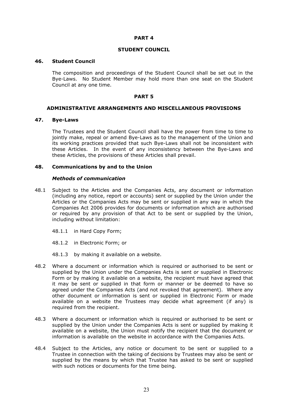#### **PART 4**

#### **STUDENT COUNCIL**

#### <span id="page-24-2"></span>**46. Student Council**

The composition and proceedings of the Student Council shall be set out in the Bye-Laws. No Student Member may hold more than one seat on the Student Council at any one time.

#### **PART 5**

#### **ADMINISTRATIVE ARRANGEMENTS AND MISCELLANEOUS PROVISIONS**

#### <span id="page-24-1"></span>**47. Bye-Laws**

The Trustees and the Student Council shall have the power from time to time to jointly make, repeal or amend Bye-Laws as to the management of the Union and its working practices provided that such Bye-Laws shall not be inconsistent with these Articles. In the event of any inconsistency between the Bye-Laws and these Articles, the provisions of these Articles shall prevail.

#### <span id="page-24-0"></span>**48. Communications by and to the Union**

#### *Methods of communication*

- 48.1 Subject to the Articles and the Companies Acts, any document or information (including any notice, report or accounts) sent or supplied by the Union under the Articles or the Companies Acts may be sent or supplied in any way in which the Companies Act 2006 provides for documents or information which are authorised or required by any provision of that Act to be sent or supplied by the Union, including without limitation:
	- 48.1.1 in Hard Copy Form;
	- 48.1.2 in Electronic Form; or
	- 48.1.3 by making it available on a website.
- 48.2 Where a document or information which is required or authorised to be sent or supplied by the Union under the Companies Acts is sent or supplied in Electronic Form or by making it available on a website, the recipient must have agreed that it may be sent or supplied in that form or manner or be deemed to have so agreed under the Companies Acts (and not revoked that agreement). Where any other document or information is sent or supplied in Electronic Form or made available on a website the Trustees may decide what agreement (if any) is required from the recipient.
- 48.3 Where a document or information which is required or authorised to be sent or supplied by the Union under the Companies Acts is sent or supplied by making it available on a website, the Union must notify the recipient that the document or information is available on the website in accordance with the Companies Acts.
- 48.4 Subject to the Articles, any notice or document to be sent or supplied to a Trustee in connection with the taking of decisions by Trustees may also be sent or supplied by the means by which that Trustee has asked to be sent or supplied with such notices or documents for the time being.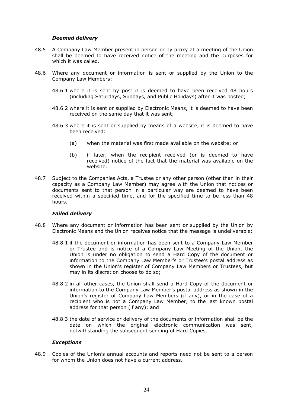#### *Deemed delivery*

- 48.5 A Company Law Member present in person or by proxy at a meeting of the Union shall be deemed to have received notice of the meeting and the purposes for which it was called.
- 48.6 Where any document or information is sent or supplied by the Union to the Company Law Members:
	- 48.6.1 where it is sent by post it is deemed to have been received 48 hours (including Saturdays, Sundays, and Public Holidays) after it was posted;
	- 48.6.2 where it is sent or supplied by Electronic Means, it is deemed to have been received on the same day that it was sent;
	- 48.6.3 where it is sent or supplied by means of a website, it is deemed to have been received:
		- (a) when the material was first made available on the website; or
		- (b) if later, when the recipient received (or is deemed to have received) notice of the fact that the material was available on the website.
- 48.7 Subject to the Companies Acts, a Trustee or any other person (other than in their capacity as a Company Law Member) may agree with the Union that notices or documents sent to that person in a particular way are deemed to have been received within a specified time, and for the specified time to be less than 48 hours.

#### *Failed delivery*

- 48.8 Where any document or information has been sent or supplied by the Union by Electronic Means and the Union receives notice that the message is undeliverable:
	- 48.8.1 if the document or information has been sent to a Company Law Member or Trustee and is notice of a Company Law Meeting of the Union, the Union is under no obligation to send a Hard Copy of the document or information to the Company Law Member's or Trustee's postal address as shown in the Union's register of Company Law Members or Trustees, but may in its discretion choose to do so;
	- 48.8.2 in all other cases, the Union shall send a Hard Copy of the document or information to the Company Law Member's postal address as shown in the Union's register of Company Law Members (if any), or in the case of a recipient who is not a Company Law Member, to the last known postal address for that person (if any); and
	- 48.8.3 the date of service or delivery of the documents or information shall be the date on which the original electronic communication was sent, notwithstanding the subsequent sending of Hard Copies.

#### *Exceptions*

48.9 Copies of the Union's annual accounts and reports need not be sent to a person for whom the Union does not have a current address.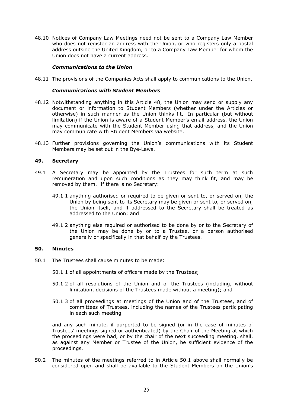48.10 Notices of Company Law Meetings need not be sent to a Company Law Member who does not register an address with the Union, or who registers only a postal address outside the United Kingdom, or to a Company Law Member for whom the Union does not have a current address.

#### *Communications to the Union*

48.11 The provisions of the Companies Acts shall apply to communications to the Union.

#### *Communications with Student Members*

- 48.12 Notwithstanding anything in this Article [48,](#page-24-0) the Union may send or supply any document or information to Student Members (whether under the Articles or otherwise) in such manner as the Union thinks fit. In particular (but without limitation) if the Union is aware of a Student Member's email address, the Union may communicate with the Student Member using that address, and the Union may communicate with Student Members via website.
- 48.13 Further provisions governing the Union's communications with its Student Members may be set out in the Bye-Laws.

#### **49. Secretary**

- 49.1 A Secretary may be appointed by the Trustees for such term at such remuneration and upon such conditions as they may think fit, and may be removed by them. If there is no Secretary:
	- 49.1.1 anything authorised or required to be given or sent to, or served on, the Union by being sent to its Secretary may be given or sent to, or served on, the Union itself, and if addressed to the Secretary shall be treated as addressed to the Union; and
	- 49.1.2 anything else required or authorised to be done by or to the Secretary of the Union may be done by or to a Trustee, or a person authorised generally or specifically in that behalf by the Trustees.

#### <span id="page-26-0"></span>**50. Minutes**

- <span id="page-26-1"></span>50.1 The Trustees shall cause minutes to be made:
	- 50.1.1 of all appointments of officers made by the Trustees;
	- 50.1.2 of all resolutions of the Union and of the Trustees (including, without limitation, decisions of the Trustees made without a meeting); and
	- 50.1.3 of all proceedings at meetings of the Union and of the Trustees, and of committees of Trustees, including the names of the Trustees participating in each such meeting

and any such minute, if purported to be signed (or in the case of minutes of Trustees' meetings signed or authenticated) by the Chair of the Meeting at which the proceedings were had, or by the chair of the next succeeding meeting, shall, as against any Member or Trustee of the Union, be sufficient evidence of the proceedings.

50.2 The minutes of the meetings referred to in Article [50.1](#page-26-1) above shall normally be considered open and shall be available to the Student Members on the Union's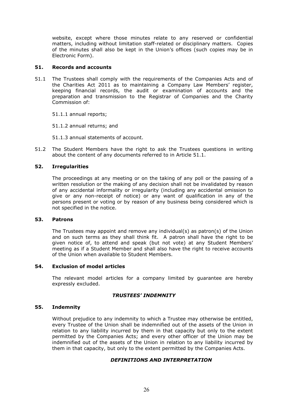website, except where those minutes relate to any reserved or confidential matters, including without limitation staff-related or disciplinary matters. Copies of the minutes shall also be kept in the Union's offices (such copies may be in Electronic Form).

# **51. Records and accounts**

<span id="page-27-1"></span>51.1 The Trustees shall comply with the requirements of the Companies Acts and of the Charities Act 2011 as to maintaining a Company Law Members' register, keeping financial records, the audit or examination of accounts and the preparation and transmission to the Registrar of Companies and the Charity Commission of:

51.1.1 annual reports;

51.1.2 annual returns; and

51.1.3 annual statements of account.

51.2 The Student Members have the right to ask the Trustees questions in writing about the content of any documents referred to in Article [51.1.](#page-27-1)

# **52. Irregularities**

The proceedings at any meeting or on the taking of any poll or the passing of a written resolution or the making of any decision shall not be invalidated by reason of any accidental informality or irregularity (including any accidental omission to give or any non-receipt of notice) or any want of qualification in any of the persons present or voting or by reason of any business being considered which is not specified in the notice.

### **53. Patrons**

The Trustees may appoint and remove any individual(s) as patron(s) of the Union and on such terms as they shall think fit. A patron shall have the right to be given notice of, to attend and speak (but not vote) at any Student Members' meeting as if a Student Member and shall also have the right to receive accounts of the Union when available to Student Members.

### **54. Exclusion of model articles**

The relevant model articles for a company limited by guarantee are hereby expressly excluded.

# *TRUSTEES' INDEMNITY*

### <span id="page-27-0"></span>**55. Indemnity**

Without prejudice to any indemnity to which a Trustee may otherwise be entitled, every Trustee of the Union shall be indemnified out of the assets of the Union in relation to any liability incurred by them in that capacity but only to the extent permitted by the Companies Acts; and every other officer of the Union may be indemnified out of the assets of the Union in relation to any liability incurred by them in that capacity, but only to the extent permitted by the Companies Acts.

#### *DEFINITIONS AND INTERPRETATION*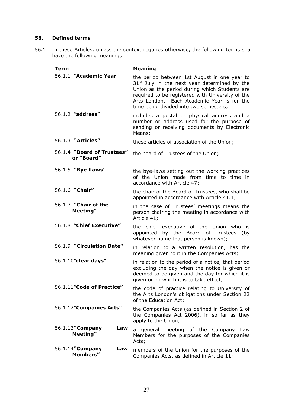# <span id="page-28-0"></span>**56. Defined terms**

56.1 In these Articles, unless the context requires otherwise, the following terms shall have the following meanings:

| <b>Term</b> |                                          | <b>Meaning</b>                                                                                                                                                                                                                                                                                        |
|-------------|------------------------------------------|-------------------------------------------------------------------------------------------------------------------------------------------------------------------------------------------------------------------------------------------------------------------------------------------------------|
|             | 56.1.1 "Academic Year"                   | the period between 1st August in one year to<br>31 <sup>st</sup> July in the next year determined by the<br>Union as the period during which Students are<br>required to be registered with University of the<br>Arts London. Each Academic Year is for the<br>time being divided into two semesters; |
|             | 56.1.2 "address"                         | includes a postal or physical address and a<br>number or address used for the purpose of<br>sending or receiving documents by Electronic<br>Means;                                                                                                                                                    |
|             | 56.1.3 "Articles"                        | these articles of association of the Union;                                                                                                                                                                                                                                                           |
|             | 56.1.4 "Board of Trustees"<br>or "Board" | the board of Trustees of the Union;                                                                                                                                                                                                                                                                   |
|             | 56.1.5 "Bye-Laws"                        | the bye-laws setting out the working practices<br>of the Union made from time to time in<br>accordance with Article 47;                                                                                                                                                                               |
|             | 56.1.6 "Chair"                           | the chair of the Board of Trustees, who shall be<br>appointed in accordance with Article 41.1;                                                                                                                                                                                                        |
|             | 56.1.7 "Chair of the<br>Meeting"         | in the case of Trustees' meetings means the<br>person chairing the meeting in accordance with<br>Article 41;                                                                                                                                                                                          |
|             | 56.1.8 "Chief Executive"                 | the chief executive of the Union who is<br>appointed by the Board of Trustees<br>(by<br>whatever name that person is known);                                                                                                                                                                          |
|             | 56.1.9 "Circulation Date"                | in relation to a written resolution, has the<br>meaning given to it in the Companies Acts;                                                                                                                                                                                                            |
|             | 56.1.10"clear days"                      | in relation to the period of a notice, that period<br>excluding the day when the notice is given or<br>deemed to be given and the day for which it is<br>given or on which it is to take effect;                                                                                                      |
|             | 56.1.11"Code of Practice"                | the code of practice relating to University of<br>the Arts London's obligations under Section 22<br>of the Education Act;                                                                                                                                                                             |
|             | 56.1.12"Companies Acts"                  | the Companies Acts (as defined in Section 2 of<br>the Companies Act 2006), in so far as they<br>apply to the Union;                                                                                                                                                                                   |
|             | 56.1.13" Company<br>Law<br>Meeting"      | general meeting of the Company Law<br>a<br>Members for the purposes of the Companies<br>Acts;                                                                                                                                                                                                         |
|             | 56.1.14"Company<br>Law<br>Members"       | members of the Union for the purposes of the<br>Companies Acts, as defined in Article 11;                                                                                                                                                                                                             |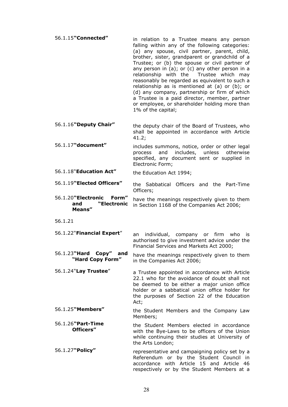- 56.1.15**"Connected"** in relation to a Trustee means any person falling within any of the following categories: (a) any spouse, civil partner, parent, child, brother, sister, grandparent or grandchild of a Trustee; or (b) the spouse or civil partner of any person in (a); or (c) any other person in a relationship with the Trustee which may reasonably be regarded as equivalent to such a relationship as is mentioned at (a) or (b); or (d) any company, partnership or firm of which a Trustee is a paid director, member, partner or employee, or shareholder holding more than 1% of the capital;
- 56.1.16**"Deputy Chair"** the deputy chair of the Board of Trustees, who shall be appointed in accordance with Article [41.2;](#page-21-4)
- 56.1.17**"document"** includes summons, notice, order or other legal process and includes, unless otherwise specified, any document sent or supplied in Electronic Form;

Officers;

56.1.18"**Education Act"** the Education Act 1994;

56.1.19**"Elected Officers"** the Sabbatical Officers and the Part-Time

- 56.1.20**"Electronic Form" and "Electronic Means"** have the meanings respectively given to them in Section 1168 of the Companies Act 2006;
- 56.1.21
- 56.1.22"**Financial Expert**" an individual, company or firm who is authorised to give investment advice under the Financial Services and Markets Act 2000;
- 56.1.23**"Hard Copy" and**  <sup>3</sup> **"Hard Copy" and** have the meanings respectively given to them<br>"**Hard Copy Form"** in the Companies Act 2006; in the Companies Act 2006;
- 56.1.24"**Lay Trustee**" a Trustee appointed in accordance with Article [22.1](#page-14-5) who for the avoidance of doubt shall not be deemed to be either a major union office holder or a sabbatical union office holder for the purposes of Section 22 of the Education Act;
- 56.1.25**"Members"** the Student Members and the Company Law Members;
- 56.1.26**"Part-Time Officers"** the Student Members elected in accordance with the Bye-Laws to be officers of the Union while continuing their studies at University of the Arts London;
- 56.1.27**"Policy"** representative and campaigning policy set by a Referendum or by the Student Council in accordance with Article [15](#page-11-2) and Article [46](#page-24-2) respectively or by the Student Members at a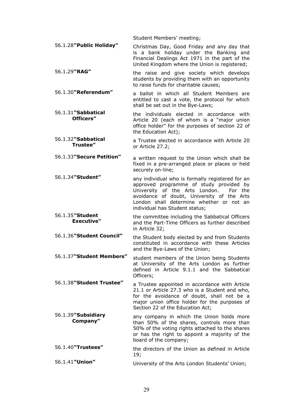|                                      | Student Members' meeting;                                                                                                                                                                                                                                            |
|--------------------------------------|----------------------------------------------------------------------------------------------------------------------------------------------------------------------------------------------------------------------------------------------------------------------|
| 56.1.28"Public Holiday"              | Christmas Day, Good Friday and any day that<br>is a bank holiday under the Banking and<br>Financial Dealings Act 1971 in the part of the<br>United Kingdom where the Union is registered;                                                                            |
| 56.1.29"RAG"                         | the raise and give society which develops<br>students by providing them with an opportunity<br>to raise funds for charitable causes;                                                                                                                                 |
| 56.1.30"Referendum"                  | a ballot in which all Student Members are<br>entitled to cast a vote, the protocol for which<br>shall be set out in the Bye-Laws;                                                                                                                                    |
| 56.1.31"Sabbatical<br>Officers"      | the individuals elected in accordance with<br>Article 20 (each of whom is a "major union<br>office holder" for the purposes of section 22 of<br>the Education Act);                                                                                                  |
| 56.1.32"Sabbatical<br>Trustee"       | a Trustee elected in accordance with Article 20<br>or Article 27.2;                                                                                                                                                                                                  |
| 56.1.33"Secure Petition"             | a written request to the Union which shall be<br>fixed in a pre-arranged place or places or held<br>securely on-line;                                                                                                                                                |
| 56.1.34"Student"                     | any individual who is formally registered for an<br>approved programme of study provided by<br>University of the Arts London.<br>For the<br>avoidance of doubt, University of the Arts<br>London shall determine whether or not an<br>individual has Student status; |
| 56.1.35"Student<br><b>Executive"</b> | the committee including the Sabbatical Officers<br>and the Part-Time Officers as further described<br>in Article 32;                                                                                                                                                 |
| 56.1.36"Student Council"             | the Student body elected by and from Students<br>constituted in accordance with these Articles<br>and the Bye-Laws of the Union;                                                                                                                                     |
| 56.1.37"Student Members"             | student members of the Union being Students<br>at University of the Arts London as further<br>defined in Article 9.1.1 and the Sabbatical<br>Officers;                                                                                                               |
| 56.1.38"Student Trustee"             | a Trustee appointed in accordance with Article<br>21.1 or Article 27.3 who is a Student and who,<br>for the avoidance of doubt, shall not be a<br>major union office holder for the purposes of<br>Section 22 of the Education Act;                                  |
| 56.1.39"Subsidiary<br>Company"       | any company in which the Union holds more<br>than 50% of the shares, controls more than<br>50% of the voting rights attached to the shares<br>or has the right to appoint a majority of the<br>board of the company;                                                 |
| 56.1.40"Trustees"                    | the directors of the Union as defined in Article<br>19;                                                                                                                                                                                                              |
| 56.1.41" Union"                      | University of the Arts London Students' Union;                                                                                                                                                                                                                       |